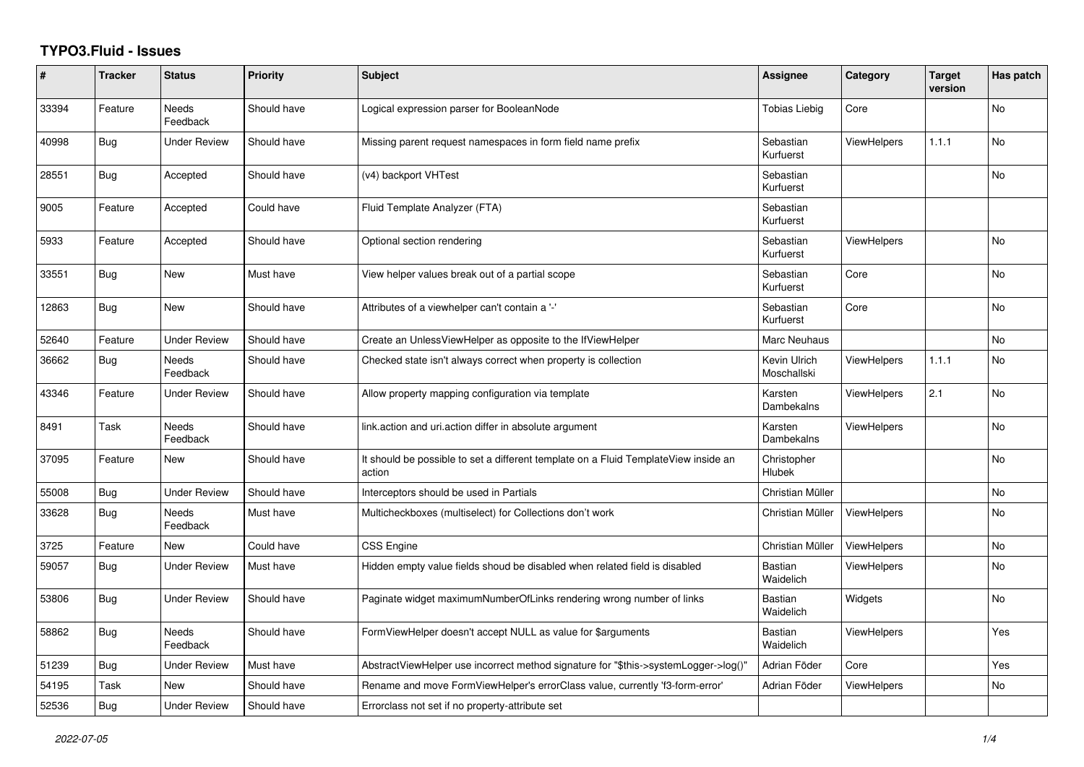## **TYPO3.Fluid - Issues**

| #     | <b>Tracker</b> | <b>Status</b>            | Priority    | <b>Subject</b>                                                                                | Assignee                    | Category           | <b>Target</b><br>version | Has patch      |
|-------|----------------|--------------------------|-------------|-----------------------------------------------------------------------------------------------|-----------------------------|--------------------|--------------------------|----------------|
| 33394 | Feature        | Needs<br>Feedback        | Should have | Logical expression parser for BooleanNode                                                     | <b>Tobias Liebig</b>        | Core               |                          | No             |
| 40998 | Bug            | <b>Under Review</b>      | Should have | Missing parent request namespaces in form field name prefix                                   | Sebastian<br>Kurfuerst      | <b>ViewHelpers</b> | 1.1.1                    | No             |
| 28551 | <b>Bug</b>     | Accepted                 | Should have | (v4) backport VHTest                                                                          | Sebastian<br>Kurfuerst      |                    |                          | No             |
| 9005  | Feature        | Accepted                 | Could have  | Fluid Template Analyzer (FTA)                                                                 | Sebastian<br>Kurfuerst      |                    |                          |                |
| 5933  | Feature        | Accepted                 | Should have | Optional section rendering                                                                    | Sebastian<br>Kurfuerst      | <b>ViewHelpers</b> |                          | <b>No</b>      |
| 33551 | <b>Bug</b>     | New                      | Must have   | View helper values break out of a partial scope                                               | Sebastian<br>Kurfuerst      | Core               |                          | <b>No</b>      |
| 12863 | <b>Bug</b>     | New                      | Should have | Attributes of a viewhelper can't contain a '-'                                                | Sebastian<br>Kurfuerst      | Core               |                          | <b>No</b>      |
| 52640 | Feature        | <b>Under Review</b>      | Should have | Create an UnlessViewHelper as opposite to the IfViewHelper                                    | Marc Neuhaus                |                    |                          | No             |
| 36662 | Bug            | <b>Needs</b><br>Feedback | Should have | Checked state isn't always correct when property is collection                                | Kevin Ulrich<br>Moschallski | ViewHelpers        | 1.1.1                    | <b>No</b>      |
| 43346 | Feature        | Under Review             | Should have | Allow property mapping configuration via template                                             | Karsten<br>Dambekalns       | ViewHelpers        | 2.1                      | No             |
| 8491  | Task           | Needs<br>Feedback        | Should have | link.action and uri.action differ in absolute argument                                        | Karsten<br>Dambekalns       | ViewHelpers        |                          | No             |
| 37095 | Feature        | New                      | Should have | It should be possible to set a different template on a Fluid TemplateView inside an<br>action | Christopher<br>Hlubek       |                    |                          | No             |
| 55008 | <b>Bug</b>     | <b>Under Review</b>      | Should have | Interceptors should be used in Partials                                                       | Christian Müller            |                    |                          | N <sub>o</sub> |
| 33628 | Bug            | Needs<br>Feedback        | Must have   | Multicheckboxes (multiselect) for Collections don't work                                      | Christian Müller            | ViewHelpers        |                          | No             |
| 3725  | Feature        | New                      | Could have  | CSS Engine                                                                                    | Christian Müller            | ViewHelpers        |                          | No             |
| 59057 | <b>Bug</b>     | Under Review             | Must have   | Hidden empty value fields shoud be disabled when related field is disabled                    | <b>Bastian</b><br>Waidelich | <b>ViewHelpers</b> |                          | No             |
| 53806 | Bug            | Under Review             | Should have | Paginate widget maximumNumberOfLinks rendering wrong number of links                          | <b>Bastian</b><br>Waidelich | Widgets            |                          | No             |
| 58862 | Bug            | Needs<br>Feedback        | Should have | FormViewHelper doesn't accept NULL as value for \$arguments                                   | Bastian<br>Waidelich        | <b>ViewHelpers</b> |                          | Yes            |
| 51239 | <b>Bug</b>     | Under Review             | Must have   | AbstractViewHelper use incorrect method signature for "\$this->systemLogger->log()"           | Adrian Föder                | Core               |                          | Yes            |
| 54195 | Task           | New                      | Should have | Rename and move FormViewHelper's errorClass value, currently 'f3-form-error'                  | Adrian Föder                | <b>ViewHelpers</b> |                          | No             |
| 52536 | Bug            | <b>Under Review</b>      | Should have | Errorclass not set if no property-attribute set                                               |                             |                    |                          |                |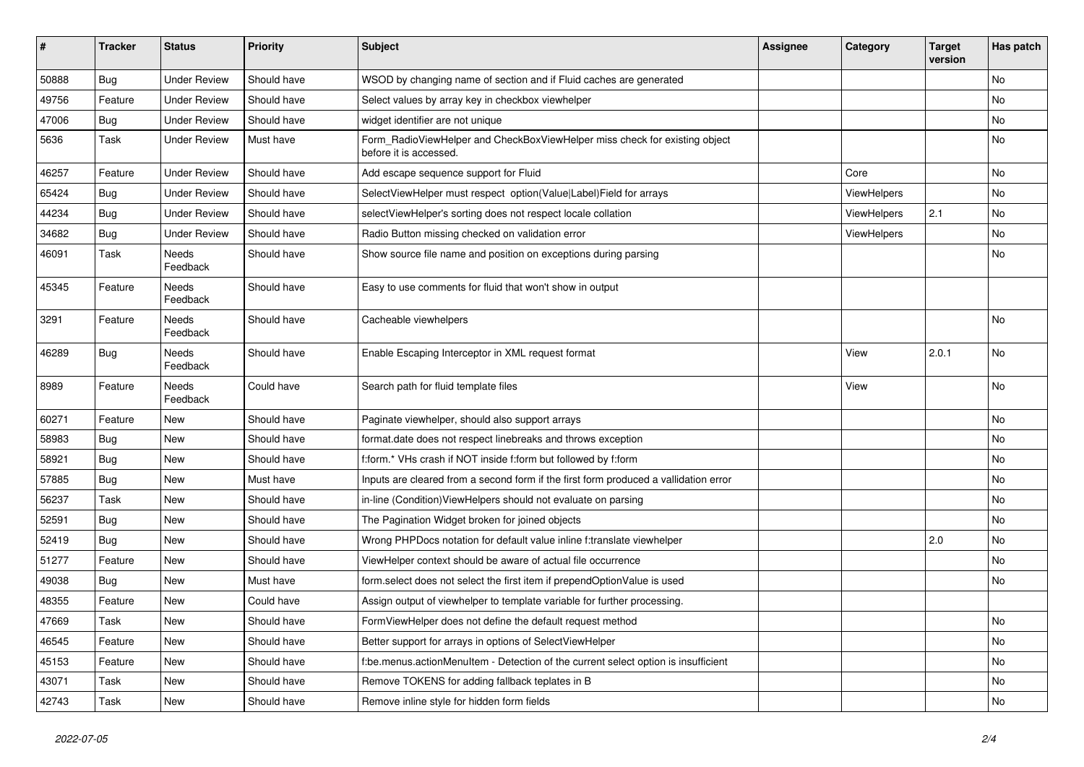| #     | <b>Tracker</b> | <b>Status</b>            | <b>Priority</b> | Subject                                                                                              | <b>Assignee</b> | Category    | <b>Target</b><br>version | Has patch |
|-------|----------------|--------------------------|-----------------|------------------------------------------------------------------------------------------------------|-----------------|-------------|--------------------------|-----------|
| 50888 | Bug            | <b>Under Review</b>      | Should have     | WSOD by changing name of section and if Fluid caches are generated                                   |                 |             |                          | <b>No</b> |
| 49756 | Feature        | <b>Under Review</b>      | Should have     | Select values by array key in checkbox viewhelper                                                    |                 |             |                          | No        |
| 47006 | Bug            | <b>Under Review</b>      | Should have     | widget identifier are not unique                                                                     |                 |             |                          | No        |
| 5636  | Task           | <b>Under Review</b>      | Must have       | Form_RadioViewHelper and CheckBoxViewHelper miss check for existing object<br>before it is accessed. |                 |             |                          | No        |
| 46257 | Feature        | <b>Under Review</b>      | Should have     | Add escape sequence support for Fluid                                                                |                 | Core        |                          | <b>No</b> |
| 65424 | Bug            | <b>Under Review</b>      | Should have     | SelectViewHelper must respect option(Value Label)Field for arrays                                    |                 | ViewHelpers |                          | No        |
| 44234 | Bug            | <b>Under Review</b>      | Should have     | selectViewHelper's sorting does not respect locale collation                                         |                 | ViewHelpers | 2.1                      | No        |
| 34682 | Bug            | <b>Under Review</b>      | Should have     | Radio Button missing checked on validation error                                                     |                 | ViewHelpers |                          | No        |
| 46091 | Task           | <b>Needs</b><br>Feedback | Should have     | Show source file name and position on exceptions during parsing                                      |                 |             |                          | <b>No</b> |
| 45345 | Feature        | <b>Needs</b><br>Feedback | Should have     | Easy to use comments for fluid that won't show in output                                             |                 |             |                          |           |
| 3291  | Feature        | <b>Needs</b><br>Feedback | Should have     | Cacheable viewhelpers                                                                                |                 |             |                          | <b>No</b> |
| 46289 | Bug            | Needs<br>Feedback        | Should have     | Enable Escaping Interceptor in XML request format                                                    |                 | View        | 2.0.1                    | <b>No</b> |
| 8989  | Feature        | Needs<br>Feedback        | Could have      | Search path for fluid template files                                                                 |                 | View        |                          | <b>No</b> |
| 60271 | Feature        | <b>New</b>               | Should have     | Paginate viewhelper, should also support arrays                                                      |                 |             |                          | No        |
| 58983 | Bug            | New                      | Should have     | format.date does not respect linebreaks and throws exception                                         |                 |             |                          | No        |
| 58921 | Bug            | <b>New</b>               | Should have     | f:form.* VHs crash if NOT inside f:form but followed by f:form                                       |                 |             |                          | No        |
| 57885 | Bug            | New                      | Must have       | Inputs are cleared from a second form if the first form produced a vallidation error                 |                 |             |                          | No        |
| 56237 | Task           | <b>New</b>               | Should have     | in-line (Condition) ViewHelpers should not evaluate on parsing                                       |                 |             |                          | No        |
| 52591 | Bug            | <b>New</b>               | Should have     | The Pagination Widget broken for joined objects                                                      |                 |             |                          | No        |
| 52419 | Bug            | New                      | Should have     | Wrong PHPDocs notation for default value inline f:translate viewhelper                               |                 |             | 2.0                      | No        |
| 51277 | Feature        | New                      | Should have     | ViewHelper context should be aware of actual file occurrence                                         |                 |             |                          | No        |
| 49038 | Bug            | <b>New</b>               | Must have       | form.select does not select the first item if prependOptionValue is used                             |                 |             |                          | No        |
| 48355 | Feature        | New                      | Could have      | Assign output of viewhelper to template variable for further processing.                             |                 |             |                          |           |
| 47669 | Task           | New                      | Should have     | FormViewHelper does not define the default request method                                            |                 |             |                          | No        |
| 46545 | Feature        | New                      | Should have     | Better support for arrays in options of SelectViewHelper                                             |                 |             |                          | No        |
| 45153 | Feature        | New                      | Should have     | f:be.menus.actionMenuItem - Detection of the current select option is insufficient                   |                 |             |                          | No        |
| 43071 | Task           | New                      | Should have     | Remove TOKENS for adding fallback teplates in B                                                      |                 |             |                          | No        |
| 42743 | Task           | New                      | Should have     | Remove inline style for hidden form fields                                                           |                 |             |                          | No        |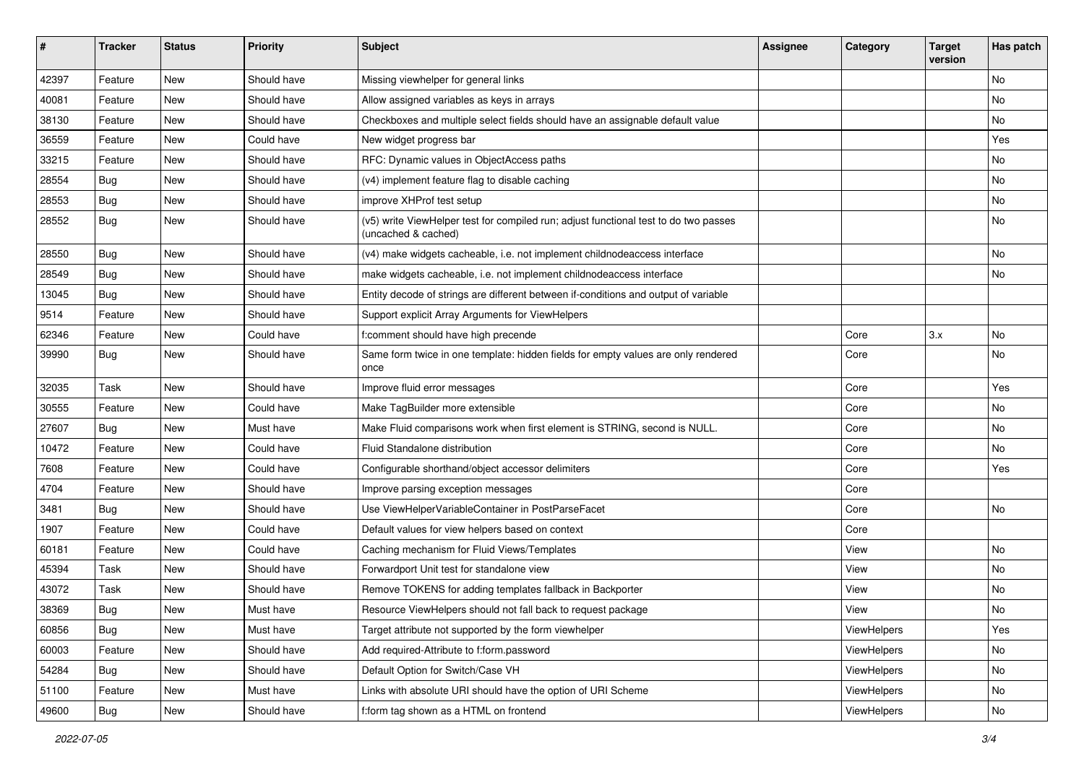| #     | <b>Tracker</b> | <b>Status</b> | <b>Priority</b> | Subject                                                                                                     | <b>Assignee</b> | Category    | <b>Target</b><br>version | Has patch |
|-------|----------------|---------------|-----------------|-------------------------------------------------------------------------------------------------------------|-----------------|-------------|--------------------------|-----------|
| 42397 | Feature        | <b>New</b>    | Should have     | Missing viewhelper for general links                                                                        |                 |             |                          | <b>No</b> |
| 40081 | Feature        | New           | Should have     | Allow assigned variables as keys in arrays                                                                  |                 |             |                          | No        |
| 38130 | Feature        | New           | Should have     | Checkboxes and multiple select fields should have an assignable default value                               |                 |             |                          | No        |
| 36559 | Feature        | <b>New</b>    | Could have      | New widget progress bar                                                                                     |                 |             |                          | Yes       |
| 33215 | Feature        | New           | Should have     | RFC: Dynamic values in ObjectAccess paths                                                                   |                 |             |                          | No        |
| 28554 | Bug            | New           | Should have     | (v4) implement feature flag to disable caching                                                              |                 |             |                          | <b>No</b> |
| 28553 | Bug            | New           | Should have     | improve XHProf test setup                                                                                   |                 |             |                          | No        |
| 28552 | Bug            | New           | Should have     | (v5) write ViewHelper test for compiled run; adjust functional test to do two passes<br>(uncached & cached) |                 |             |                          | No        |
| 28550 | Bug            | New           | Should have     | (v4) make widgets cacheable, i.e. not implement childnodeaccess interface                                   |                 |             |                          | No        |
| 28549 | Bug            | New           | Should have     | make widgets cacheable, i.e. not implement childnodeaccess interface                                        |                 |             |                          | No        |
| 13045 | Bug            | <b>New</b>    | Should have     | Entity decode of strings are different between if-conditions and output of variable                         |                 |             |                          |           |
| 9514  | Feature        | New           | Should have     | Support explicit Array Arguments for ViewHelpers                                                            |                 |             |                          |           |
| 62346 | Feature        | New           | Could have      | f:comment should have high precende                                                                         |                 | Core        | 3.x                      | <b>No</b> |
| 39990 | Bug            | New           | Should have     | Same form twice in one template: hidden fields for empty values are only rendered<br>once                   |                 | Core        |                          | No        |
| 32035 | Task           | <b>New</b>    | Should have     | Improve fluid error messages                                                                                |                 | Core        |                          | Yes       |
| 30555 | Feature        | New           | Could have      | Make TagBuilder more extensible                                                                             |                 | Core        |                          | No        |
| 27607 | Bug            | New           | Must have       | Make Fluid comparisons work when first element is STRING, second is NULL.                                   |                 | Core        |                          | No        |
| 10472 | Feature        | New           | Could have      | Fluid Standalone distribution                                                                               |                 | Core        |                          | No        |
| 7608  | Feature        | New           | Could have      | Configurable shorthand/object accessor delimiters                                                           |                 | Core        |                          | Yes       |
| 4704  | Feature        | <b>New</b>    | Should have     | Improve parsing exception messages                                                                          |                 | Core        |                          |           |
| 3481  | Bug            | New           | Should have     | Use ViewHelperVariableContainer in PostParseFacet                                                           |                 | Core        |                          | No        |
| 1907  | Feature        | New           | Could have      | Default values for view helpers based on context                                                            |                 | Core        |                          |           |
| 60181 | Feature        | New           | Could have      | Caching mechanism for Fluid Views/Templates                                                                 |                 | View        |                          | No        |
| 45394 | Task           | New           | Should have     | Forwardport Unit test for standalone view                                                                   |                 | View        |                          | No        |
| 43072 | Task           | New           | Should have     | Remove TOKENS for adding templates fallback in Backporter                                                   |                 | View        |                          | No        |
| 38369 | Bug            | New           | Must have       | Resource ViewHelpers should not fall back to request package                                                |                 | View        |                          | No        |
| 60856 | Bug            | New           | Must have       | Target attribute not supported by the form viewhelper                                                       |                 | ViewHelpers |                          | Yes       |
| 60003 | Feature        | New           | Should have     | Add required-Attribute to f:form.password                                                                   |                 | ViewHelpers |                          | No        |
| 54284 | Bug            | New           | Should have     | Default Option for Switch/Case VH                                                                           |                 | ViewHelpers |                          | No        |
| 51100 | Feature        | New           | Must have       | Links with absolute URI should have the option of URI Scheme                                                |                 | ViewHelpers |                          | No        |
| 49600 | Bug            | New           | Should have     | f:form tag shown as a HTML on frontend                                                                      |                 | ViewHelpers |                          | No        |